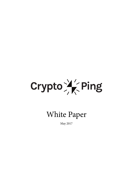

# White Paper

May 2017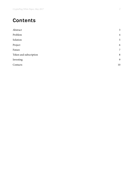### **Contents**

| Abstract               | $\mathfrak{Z}$ |
|------------------------|----------------|
| Problem                | $\overline{4}$ |
| Solution               | 5              |
| Project                | 6              |
| Future                 | 7              |
| Token and subscription | 8              |
| Investing              | 9              |
| Contacts               | $10\,$         |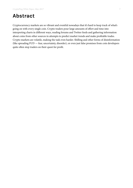#### **Abstract**

Cryptocurrency markets are so vibrant and eventful nowadays that it's hard to keep track of what's going on with every single coin. Crypto traders pour large amounts of effort and time into interpreting charts in different ways, reading forums and Twitter feeds and gathering information about coins from other sources in attempts to predict market trends and make proftable trades. Crypto markets are volatile, making the task even harder. Shilling and other forms of disinformation (like spreading FUD — fear, uncertainty, disorder), or even just false promises from coin developers quite often stop traders on their quest for profit.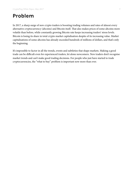### **Problem**

In 2017, a sharp surge of new crypto traders is boosting trading volumes and rates of almost every alternative cryptocurrency (altcoins) and Bitcoin itself. That also makes prices of some altcoins more volatile than before, while constantly growing Bitcoin rate keeps increasing traders' stress levels. Bitcoin is losing its share in total crypto market capitalisation despite of its increasing value. Market capitalisations of some altcoins has already exceeded hundreds of millions of dollars, and that's only the beginning.

It's impossible to factor in all the trends, events and subtleties that shape markets. Making a good trade can be difficult even for experienced traders, let alone newcomers. New traders don't recognise market trends and can't make good trading decisions. For people who just have started to trade cryptocurrencies, the "what to buy" problem is important now more than ever.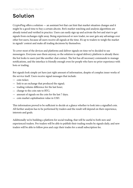# **Solution**

CryptoPing offers a solution — an assistant bot that can hint that market situation changes and it might be a good time to buy a certain altcoin. Bot's market watching and analysis algorithms are already tested and verifed in practice. Users can easily sign up and activate the bot and start to get signals from exchanges right away. Being experienced or new trader, no user gets any advantage over other bot users, because all users receive all signals at the time. It's up to traders to weigh the market in signals' context and make all trading decisions by themselves.

To cover most of the devices and platforms and deliver signals on time we've decided to use messengers. Everyone uses them anyway, so the solution to signal delivery platform is already there: the bot looks to users just like another chat contact. The bot has all necessary commands to manage notifcations, and the interface is friendly enough even for people who have no prior experience with bots or trading.

Bot signals look simple yet have just right amount of information, despite of complex inner works of the service itself. Users receive signal messages that include:

- coin ticker;
- link to an exchange that produced the signal;
- trading volume difference for the last hour;
- change to the coin rate to BTC;
- amount of signals on the coin for the last 7 days;
- coin market capitalisation value in USD.

This information proved to be sufficient to decide at a glance whether to look into a signalled coin. All further analysis has to be performed by traders and the result will depend on their experience, interests and goals.

Additionally we're building a platform for social trading, that will be useful to both new and experienced traders. Pro traders will be able to publish their trading results by signals daily, and new traders will be able to follow pros and copy their trades for a small subscription fee.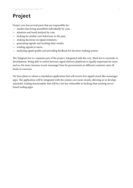# **Project**

Project core has several parts that are responsible for:

- market data being assembled individually by coin;
- situation and trend analysis by coin;
- looking for similar coin behaviour in the past;
- making decisions on signal initiation;
- generating signals and tracking their results;
- sending signals to users;
- analysing signal quality and providing feedback for decision-making system.

The Telegram bot is a separate part of the project, integrated with the core. Slack bot is currently in development. Being able to switch between signal delivery platforms is equally important for users and us, the team, because recent messenger bans by governments in different countries raise all kinds of concerns.

We have plans to release a standalone application that will receive bot signals much like messenger apps. The application will be integrated with the system core more closely, allowing us to develop automatic trading functionality that will be a lot less vulnerable to hacking than existing serverbased trading apps.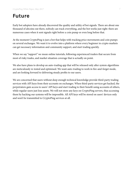# **Future**

Early bot adopters have already discovered the quality and utility of bot signals. There are about one thousand of altcoins out there, nobody can track everything, and the bot works just right: there are numerous cases when it sent signals right before a coin pump or even long before that.

At the moment CryptoPing is just a bot that helps with tracking price movements and coin pumps on several exchanges. We want it to evolve into a platform where every beginner in crypto markets can get necessary information and community support, and start trading quickly.

When we say "support" we mean online tutorials, following experienced traders that secure from most of risky trades, and market situation coverage that is actually on point.

We also have plans to develop an auto-trading app that will be released only after system algorithms are meticulously re-tested and optimised. We want auto-trading to work in fre-and-forget mode, and are looking forward to delivering steady profts to our users.

We are concerned that users without deep enough technical knowledge provide third-party trading services with API keys from their accounts on exchanges. When third-party services get hacked, the perpetrators gain access to users' API keys and start trading to their beneft using accounts of others, while regular users just lose assets. We will not store any keys on CryptoPing servers, thus accessing them by hacking our systems will be impossible. All API keys will be stored on users' devices only and won't be transmitted to CryptoPing services at all.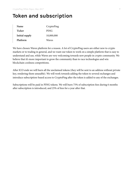# **Token and subscription**

| Name           | CryptoPing   |
|----------------|--------------|
| Ticker         | <b>PING</b>  |
| Initial supply | 10,000,000   |
| Platform       | <b>Waves</b> |

We have chosen Waves platform for a reason. A lot of CryptoPing users are either new to crypto markets or to trading in general, and we want our token to work on a simple platform that is easy to understand and use, while Waves are very welcoming towards new people in crypto community. We believe that it's more important to grow the community than to race technologies and win blockchain coolness competitions.

Afer ICO ends we will burn all the unclaimed tokens (they will be sent to an address without private key, rendering them unusable). We will work towards adding the token to several exchanges and introduce subscription-based access to CryptoPing after the token is added to any of the exchanges.

Subscriptions will be paid in PING tokens. We will burn 75% of subscription fees during 6 months after subscription is introduced, and 25% of fees for a year after that.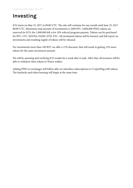# **Investing**

ICO starts on May 25, 2017 at 00:00 UTC. The sale will continue for one month until June 25, 2017 00:00 UTC. Maximum total amount of investments is 1000 BTC. 9,000,000 PING tokens are reserved for ICO, the 1,000,000 left is for 10% referral program payouts. Tokens can be purchased for BTC, LTC, WAVES, DASH, ETH, ETC. All unclaimed tokens will be burned, and full report on investments and resulting supply of tokens will be released.

For investments more than 100 BTC we offer a 15% discount, that will result in getting 15% more tokens for the same investment amount.

We will be assessing and verifying ICO results for a week after it ends. After that, all investors will be able to withdraw their tokens to Waves wallets.

Adding PING to exchanges will follow after we introduce subscriptions to CryptoPing with tokens. The buybacks and token burning will begin at the same time.